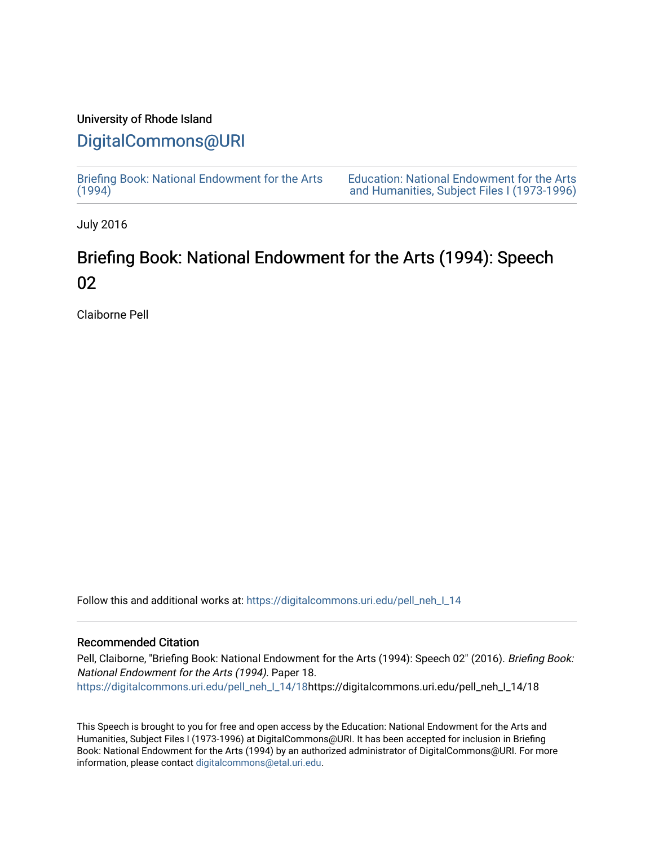### University of Rhode Island

## [DigitalCommons@URI](https://digitalcommons.uri.edu/)

[Briefing Book: National Endowment for the Arts](https://digitalcommons.uri.edu/pell_neh_I_14)  $(1994)$ 

[Education: National Endowment for the Arts](https://digitalcommons.uri.edu/pell_neh_I)  [and Humanities, Subject Files I \(1973-1996\)](https://digitalcommons.uri.edu/pell_neh_I) 

July 2016

# Briefing Book: National Endowment for the Arts (1994): Speech 02

Claiborne Pell

Follow this and additional works at: [https://digitalcommons.uri.edu/pell\\_neh\\_I\\_14](https://digitalcommons.uri.edu/pell_neh_I_14?utm_source=digitalcommons.uri.edu%2Fpell_neh_I_14%2F18&utm_medium=PDF&utm_campaign=PDFCoverPages) 

#### Recommended Citation

Pell, Claiborne, "Briefing Book: National Endowment for the Arts (1994): Speech 02" (2016). Briefing Book: National Endowment for the Arts (1994). Paper 18. [https://digitalcommons.uri.edu/pell\\_neh\\_I\\_14/18h](https://digitalcommons.uri.edu/pell_neh_I_14/18?utm_source=digitalcommons.uri.edu%2Fpell_neh_I_14%2F18&utm_medium=PDF&utm_campaign=PDFCoverPages)ttps://digitalcommons.uri.edu/pell\_neh\_I\_14/18

This Speech is brought to you for free and open access by the Education: National Endowment for the Arts and Humanities, Subject Files I (1973-1996) at DigitalCommons@URI. It has been accepted for inclusion in Briefing Book: National Endowment for the Arts (1994) by an authorized administrator of DigitalCommons@URI. For more information, please contact [digitalcommons@etal.uri.edu.](mailto:digitalcommons@etal.uri.edu)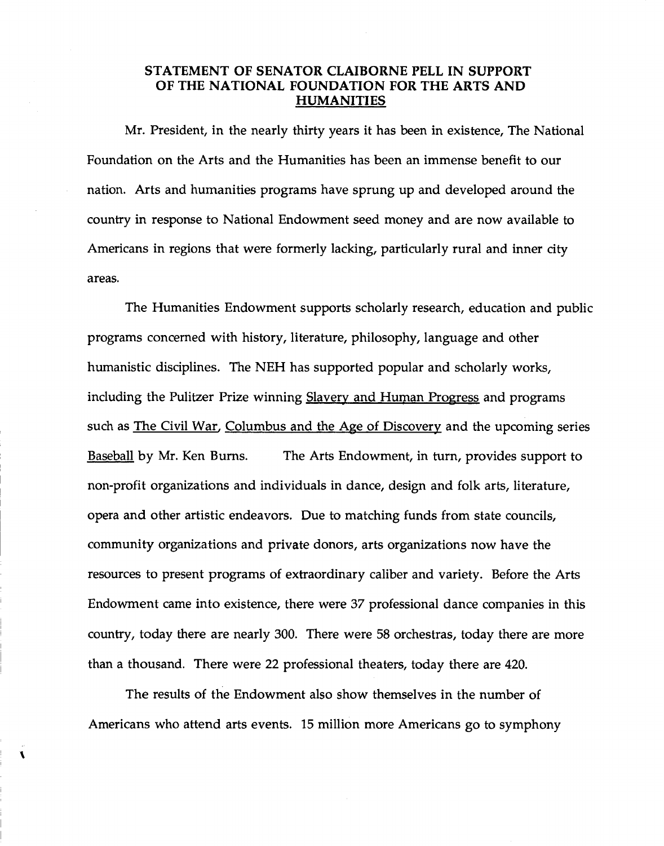### STATEMENT OF SENATOR CLAIBORNE PELL IN SUPPORT OF THE NATIONAL FOUNDATION FOR THE ARTS AND HUMANITIES

Mr. President, in the nearly thirty years it has been in existence, The National Foundation on the Arts and the Humanities has been an immense benefit to our nation. Arts and humanities programs have sprung up and developed around the country in response to National Endowment seed money and are now available to Americans in regions that were formerly lacking, particularly rural and inner city areas.

The Humanities Endowment supports scholarly research, education and public programs concerned with history, literature, philosophy, language and other humanistic disciplines. The NEH has supported popular and scholarly works, including the Pulitzer Prize winning Slavery and Human Progress and programs such as The Civil War, Columbus and the Age of Discovery and the upcoming series Baseball by Mr. Ken Bums. The Arts Endowment, in turn, provides support to non-profit organizations and individuals in dance, design and folk arts, literature, opera and other artistic endeavors. Due to matching funds from state councils, community organizations and private donors, arts organizations now have the resources to present programs of extraordinary caliber and variety. Before the Arts Endowment came into existence, there were 37 professional dance companies in this country, today there are nearly 300. There were 58 orchestras, today there are more than a thousand. There were 22 professional theaters, today there are 420.

The results of the Endowment also show themselves in the number of Americans who attend arts events. 15 million more Americans go to symphony

 $\mathbf{I}$